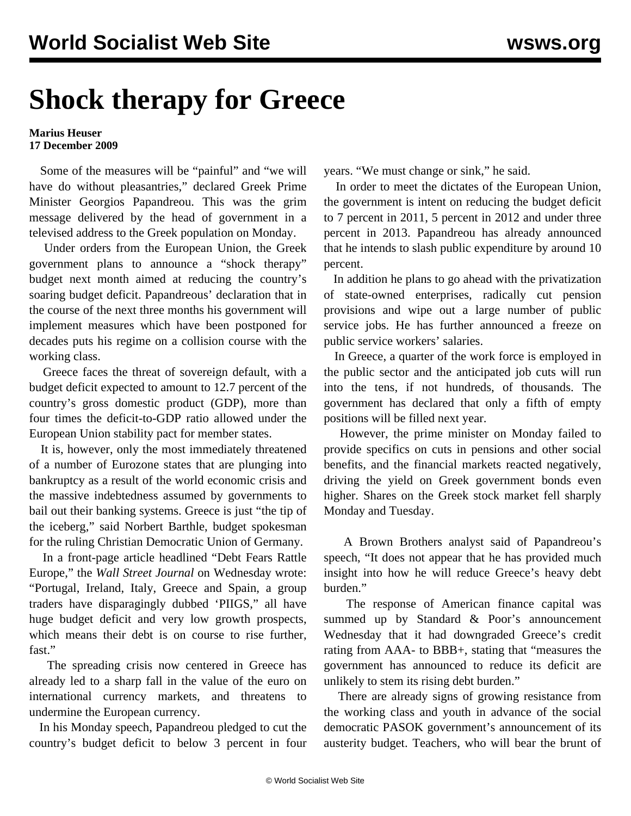## **Shock therapy for Greece**

## **Marius Heuser 17 December 2009**

 Some of the measures will be "painful" and "we will have do without pleasantries," declared Greek Prime Minister Georgios Papandreou. This was the grim message delivered by the head of government in a televised address to the Greek population on Monday.

 Under orders from the European Union, the Greek government plans to announce a "shock therapy" budget next month aimed at reducing the country's soaring budget deficit. Papandreous' declaration that in the course of the next three months his government will implement measures which have been postponed for decades puts his regime on a collision course with the working class.

 Greece faces the threat of sovereign default, with a budget deficit expected to amount to 12.7 percent of the country's gross domestic product (GDP), more than four times the deficit-to-GDP ratio allowed under the European Union stability pact for member states.

 It is, however, only the most immediately threatened of a number of Eurozone states that are plunging into bankruptcy as a result of the world economic crisis and the massive indebtedness assumed by governments to bail out their banking systems. Greece is just "the tip of the iceberg," said Norbert Barthle, budget spokesman for the ruling Christian Democratic Union of Germany.

 In a front-page article headlined "Debt Fears Rattle Europe," the *Wall Street Journal* on Wednesday wrote: "Portugal, Ireland, Italy, Greece and Spain, a group traders have disparagingly dubbed 'PIIGS," all have huge budget deficit and very low growth prospects, which means their debt is on course to rise further, fast."

 The spreading crisis now centered in Greece has already led to a sharp fall in the value of the euro on international currency markets, and threatens to undermine the European currency.

 In his Monday speech, Papandreou pledged to cut the country's budget deficit to below 3 percent in four years. "We must change or sink," he said.

 In order to meet the dictates of the European Union, the government is intent on reducing the budget deficit to 7 percent in 2011, 5 percent in 2012 and under three percent in 2013. Papandreou has already announced that he intends to slash public expenditure by around 10 percent.

 In addition he plans to go ahead with the privatization of state-owned enterprises, radically cut pension provisions and wipe out a large number of public service jobs. He has further announced a freeze on public service workers' salaries.

 In Greece, a quarter of the work force is employed in the public sector and the anticipated job cuts will run into the tens, if not hundreds, of thousands. The government has declared that only a fifth of empty positions will be filled next year.

 However, the prime minister on Monday failed to provide specifics on cuts in pensions and other social benefits, and the financial markets reacted negatively, driving the yield on Greek government bonds even higher. Shares on the Greek stock market fell sharply Monday and Tuesday.

 A Brown Brothers analyst said of Papandreou's speech, "It does not appear that he has provided much insight into how he will reduce Greece's heavy debt burden."

 The response of American finance capital was summed up by Standard & Poor's announcement Wednesday that it had downgraded Greece's credit rating from AAA- to BBB+, stating that "measures the government has announced to reduce its deficit are unlikely to stem its rising debt burden."

 There are already signs of growing resistance from the working class and youth in advance of the social democratic PASOK government's announcement of its austerity budget. Teachers, who will bear the brunt of